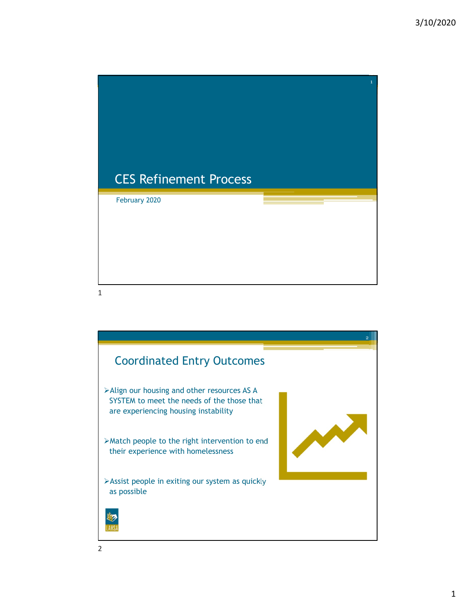

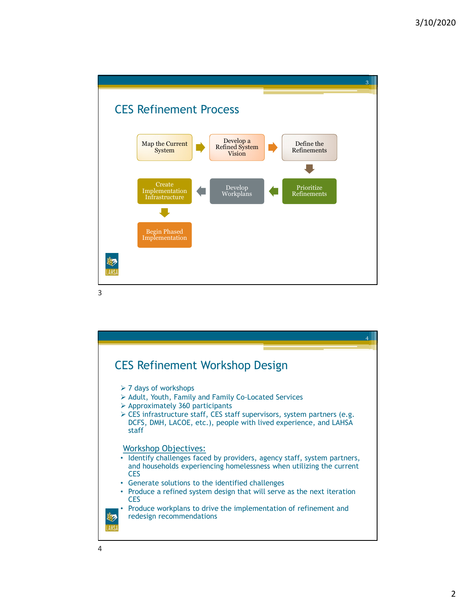

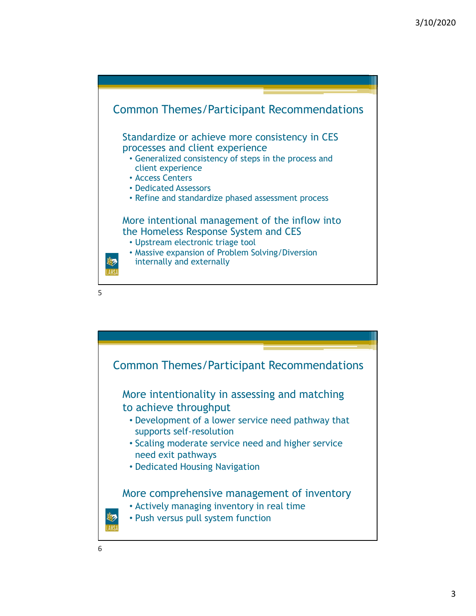

 $5<sub>5</sub>$ 

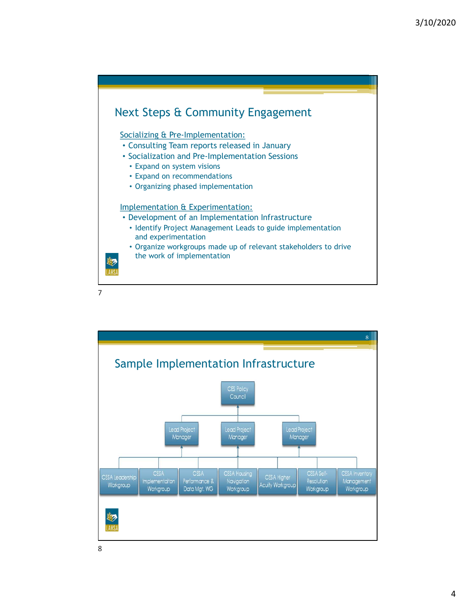